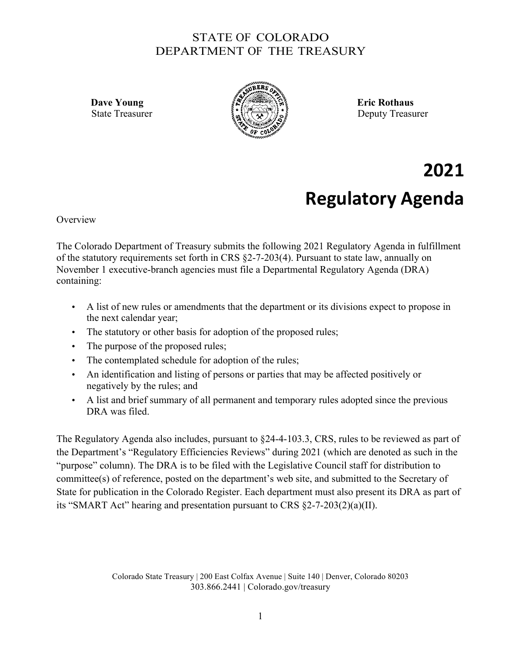## STATE OF COLORADO DEPARTMENT OF THE TREASURY



State Treasurer  $\{a_n\}$   $\{x_n\}$   $\}$ 

**2021 Regulatory Agenda**

**Overview** 

The Colorado Department of Treasury submits the following 2021 Regulatory Agenda in fulfillment of the statutory requirements set forth in CRS §2-7-203(4). Pursuant to state law, annually on November 1 executive-branch agencies must file a Departmental Regulatory Agenda (DRA) containing:

- A list of new rules or amendments that the department or its divisions expect to propose in the next calendar year;
- The statutory or other basis for adoption of the proposed rules;
- The purpose of the proposed rules;
- The contemplated schedule for adoption of the rules;
- An identification and listing of persons or parties that may be affected positively or negatively by the rules; and
- A list and brief summary of all permanent and temporary rules adopted since the previous DRA was filed.

The Regulatory Agenda also includes, pursuant to §24-4-103.3, CRS, rules to be reviewed as part of the Department's "Regulatory Efficiencies Reviews" during 2021 (which are denoted as such in the "purpose" column). The DRA is to be filed with the Legislative Council staff for distribution to committee(s) of reference, posted on the department's web site, and submitted to the Secretary of State for publication in the Colorado Register. Each department must also present its DRA as part of its "SMART Act" hearing and presentation pursuant to CRS  $\S2$ -7-203(2)(a)(II).

> Colorado State Treasury | 200 East Colfax Avenue | Suite 140 | Denver, Colorado 80203 303.866.2441 | Colorado.gov/treasury